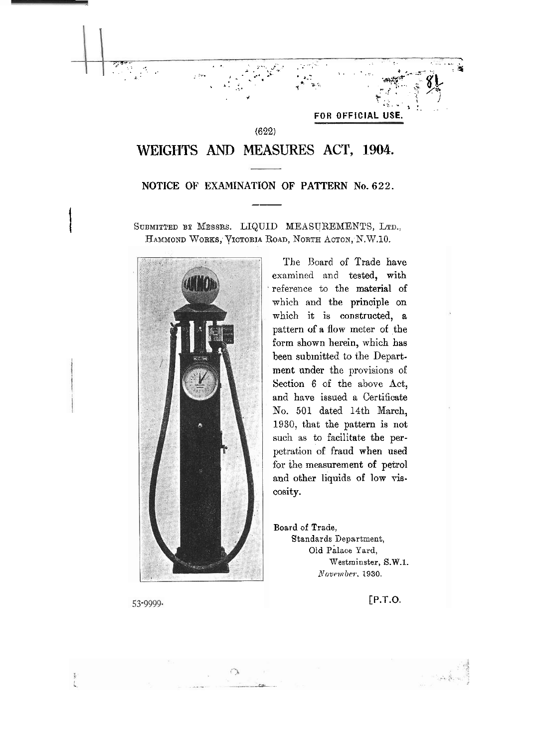FOR OFFICIAL USE

## $(622)$ WEIGHTS AND MEASURES ACT, 1904.

## NOTICE OF EXAMINATION OF PATTERN No. 622.

SUBMITTED BY MESSRS. LIQUID MEASUREMENTS, LTD., HAMMOND WORKS, VICTORIA ROAD, NORTH ACTON, N.W.10.



The Board of Trade have examined and tested. with reference to the material of which and the principle on which it is constructed, a pattern of a flow meter of the form shown herein, which has been submitted to the Department under the provisions of Section 6 of the above Act, and have issued a Certificate No. 501 dated 14th March, 1930, that the pattern is not such as to facilitate the perpetration of fraud when used for the measurement of petrol and other liquids of low viscosity.

Board of Trade, Standards Department, Old Palace Yard, Westminster, S.W.1. November, 1930.

53-9999.

 $[$ P.T.O.